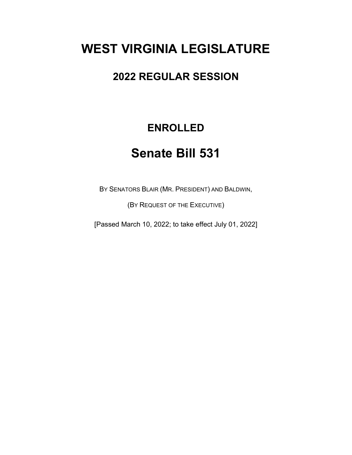# **WEST VIRGINIA LEGISLATURE**

## **2022 REGULAR SESSION**

## **ENROLLED**

# **Senate Bill 531**

BY SENATORS BLAIR (MR. PRESIDENT) AND BALDWIN,

(BY REQUEST OF THE EXECUTIVE)

[Passed March 10, 2022; to take effect July 01, 2022]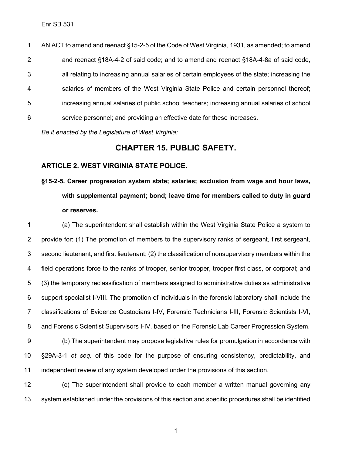AN ACT to amend and reenact §15-2-5 of the Code of West Virginia, 1931, as amended; to amend and reenact §18A-4-2 of said code; and to amend and reenact §18A-4-8a of said code, all relating to increasing annual salaries of certain employees of the state; increasing the salaries of members of the West Virginia State Police and certain personnel thereof; increasing annual salaries of public school teachers; increasing annual salaries of school service personnel; and providing an effective date for these increases.

*Be it enacted by the Legislature of West Virginia:*

### **CHAPTER 15. PUBLIC SAFETY.**

### **ARTICLE 2. WEST VIRGINIA STATE POLICE.**

# **§15-2-5. Career progression system state; salaries; exclusion from wage and hour laws, with supplemental payment; bond; leave time for members called to duty in guard or reserves.**

 (a) The superintendent shall establish within the West Virginia State Police a system to provide for: (1) The promotion of members to the supervisory ranks of sergeant, first sergeant, second lieutenant, and first lieutenant; (2) the classification of nonsupervisory members within the field operations force to the ranks of trooper, senior trooper, trooper first class, or corporal; and (3) the temporary reclassification of members assigned to administrative duties as administrative support specialist I-VIII. The promotion of individuals in the forensic laboratory shall include the classifications of Evidence Custodians I-IV, Forensic Technicians I-III, Forensic Scientists I-VI, and Forensic Scientist Supervisors I-IV, based on the Forensic Lab Career Progression System. (b) The superintendent may propose legislative rules for promulgation in accordance with §29A-3-1 *et seq.* of this code for the purpose of ensuring consistency, predictability, and independent review of any system developed under the provisions of this section.

 (c) The superintendent shall provide to each member a written manual governing any system established under the provisions of this section and specific procedures shall be identified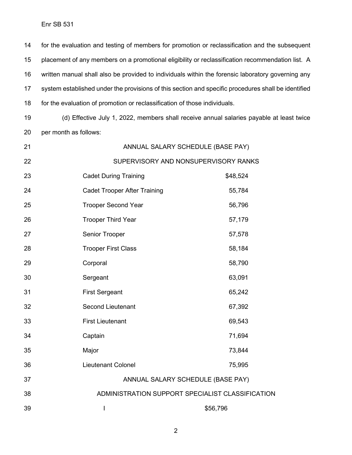for the evaluation and testing of members for promotion or reclassification and the subsequent placement of any members on a promotional eligibility or reclassification recommendation list. A written manual shall also be provided to individuals within the forensic laboratory governing any system established under the provisions of this section and specific procedures shall be identified for the evaluation of promotion or reclassification of those individuals.

 (d) Effective July 1, 2022, members shall receive annual salaries payable at least twice per month as follows:

| 21 | ANNUAL SALARY SCHEDULE (BASE PAY)                |          |
|----|--------------------------------------------------|----------|
| 22 | SUPERVISORY AND NONSUPERVISORY RANKS             |          |
| 23 | <b>Cadet During Training</b>                     | \$48,524 |
| 24 | <b>Cadet Trooper After Training</b>              | 55,784   |
| 25 | <b>Trooper Second Year</b>                       | 56,796   |
| 26 | <b>Trooper Third Year</b>                        | 57,179   |
| 27 | Senior Trooper                                   | 57,578   |
| 28 | <b>Trooper First Class</b>                       | 58,184   |
| 29 | Corporal                                         | 58,790   |
| 30 | Sergeant                                         | 63,091   |
| 31 | <b>First Sergeant</b>                            | 65,242   |
| 32 | <b>Second Lieutenant</b>                         | 67,392   |
| 33 | <b>First Lieutenant</b>                          | 69,543   |
| 34 | Captain                                          | 71,694   |
| 35 | Major                                            | 73,844   |
| 36 | <b>Lieutenant Colonel</b>                        | 75,995   |
| 37 | ANNUAL SALARY SCHEDULE (BASE PAY)                |          |
| 38 | ADMINISTRATION SUPPORT SPECIALIST CLASSIFICATION |          |
| 39 | $\overline{\phantom{a}}$                         | \$56,796 |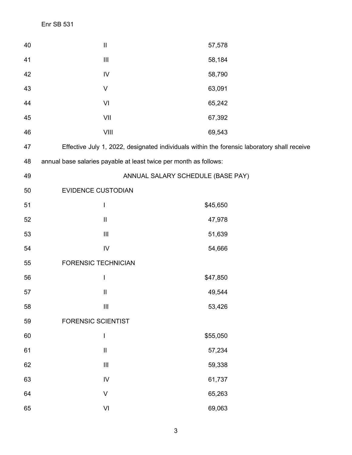| 40 | $\mathop{\rm II}\nolimits$                                                                                                                                                                                                                                                                                                                                                       | 57,578                                                                                      |
|----|----------------------------------------------------------------------------------------------------------------------------------------------------------------------------------------------------------------------------------------------------------------------------------------------------------------------------------------------------------------------------------|---------------------------------------------------------------------------------------------|
| 41 | $\ensuremath{\mathsf{III}}\xspace$                                                                                                                                                                                                                                                                                                                                               | 58,184                                                                                      |
| 42 | ${\sf IV}$                                                                                                                                                                                                                                                                                                                                                                       | 58,790                                                                                      |
| 43 | V                                                                                                                                                                                                                                                                                                                                                                                | 63,091                                                                                      |
| 44 | VI                                                                                                                                                                                                                                                                                                                                                                               | 65,242                                                                                      |
| 45 | VII                                                                                                                                                                                                                                                                                                                                                                              | 67,392                                                                                      |
| 46 | VIII                                                                                                                                                                                                                                                                                                                                                                             | 69,543                                                                                      |
| 47 |                                                                                                                                                                                                                                                                                                                                                                                  | Effective July 1, 2022, designated individuals within the forensic laboratory shall receive |
| 48 | annual base salaries payable at least twice per month as follows:                                                                                                                                                                                                                                                                                                                |                                                                                             |
| 49 |                                                                                                                                                                                                                                                                                                                                                                                  | ANNUAL SALARY SCHEDULE (BASE PAY)                                                           |
| 50 | EVIDENCE CUSTODIAN                                                                                                                                                                                                                                                                                                                                                               |                                                                                             |
| 51 | I                                                                                                                                                                                                                                                                                                                                                                                | \$45,650                                                                                    |
| 52 | $\mathop{\rm II}\nolimits$                                                                                                                                                                                                                                                                                                                                                       | 47,978                                                                                      |
| 53 | $\ensuremath{\mathsf{III}}\xspace$                                                                                                                                                                                                                                                                                                                                               | 51,639                                                                                      |
| 54 | ${\sf IV}$                                                                                                                                                                                                                                                                                                                                                                       | 54,666                                                                                      |
| 55 | <b>FORENSIC TECHNICIAN</b>                                                                                                                                                                                                                                                                                                                                                       |                                                                                             |
| 56 | I                                                                                                                                                                                                                                                                                                                                                                                | \$47,850                                                                                    |
| 57 | $\mathop{\rm II}\nolimits$                                                                                                                                                                                                                                                                                                                                                       | 49,544                                                                                      |
| 58 | $\ensuremath{\mathsf{III}}\xspace$                                                                                                                                                                                                                                                                                                                                               | 53,426                                                                                      |
| 59 | <b>FORENSIC SCIENTIST</b>                                                                                                                                                                                                                                                                                                                                                        |                                                                                             |
| 60 | $\begin{array}{c} \rule{0pt}{2.5ex} \rule{0pt}{2.5ex} \rule{0pt}{2.5ex} \rule{0pt}{2.5ex} \rule{0pt}{2.5ex} \rule{0pt}{2.5ex} \rule{0pt}{2.5ex} \rule{0pt}{2.5ex} \rule{0pt}{2.5ex} \rule{0pt}{2.5ex} \rule{0pt}{2.5ex} \rule{0pt}{2.5ex} \rule{0pt}{2.5ex} \rule{0pt}{2.5ex} \rule{0pt}{2.5ex} \rule{0pt}{2.5ex} \rule{0pt}{2.5ex} \rule{0pt}{2.5ex} \rule{0pt}{2.5ex} \rule{0$ | \$55,050                                                                                    |
| 61 | $\sf II$                                                                                                                                                                                                                                                                                                                                                                         | 57,234                                                                                      |
| 62 | $\ensuremath{\mathsf{III}}\xspace$                                                                                                                                                                                                                                                                                                                                               | 59,338                                                                                      |
| 63 | ${\sf IV}$                                                                                                                                                                                                                                                                                                                                                                       | 61,737                                                                                      |
| 64 | $\vee$                                                                                                                                                                                                                                                                                                                                                                           | 65,263                                                                                      |
| 65 | ${\sf VI}$                                                                                                                                                                                                                                                                                                                                                                       | 69,063                                                                                      |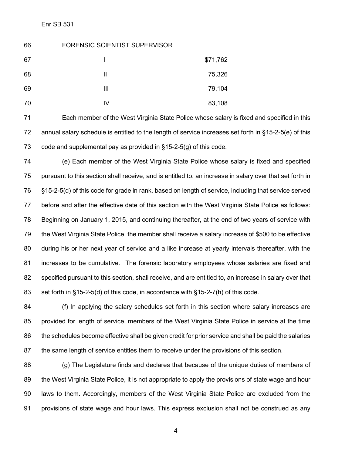| 66 | <b>FORENSIC SCIENTIST SUPERVISOR</b> |          |
|----|--------------------------------------|----------|
| 67 |                                      | \$71,762 |
| 68 | Ш                                    | 75,326   |
| 69 | Ш                                    | 79,104   |
| 70 | IV                                   | 83,108   |

 Each member of the West Virginia State Police whose salary is fixed and specified in this annual salary schedule is entitled to the length of service increases set forth in §15-2-5(e) of this code and supplemental pay as provided in §15-2-5(g) of this code.

 (e) Each member of the West Virginia State Police whose salary is fixed and specified pursuant to this section shall receive, and is entitled to, an increase in salary over that set forth in §15-2-5(d) of this code for grade in rank, based on length of service, including that service served before and after the effective date of this section with the West Virginia State Police as follows: Beginning on January 1, 2015, and continuing thereafter, at the end of two years of service with the West Virginia State Police, the member shall receive a salary increase of \$500 to be effective during his or her next year of service and a like increase at yearly intervals thereafter, with the increases to be cumulative. The forensic laboratory employees whose salaries are fixed and specified pursuant to this section, shall receive, and are entitled to, an increase in salary over that set forth in §15-2-5(d) of this code, in accordance with §15-2-7(h) of this code.

 (f) In applying the salary schedules set forth in this section where salary increases are provided for length of service, members of the West Virginia State Police in service at the time the schedules become effective shall be given credit for prior service and shall be paid the salaries the same length of service entitles them to receive under the provisions of this section.

 (g) The Legislature finds and declares that because of the unique duties of members of the West Virginia State Police, it is not appropriate to apply the provisions of state wage and hour laws to them. Accordingly, members of the West Virginia State Police are excluded from the provisions of state wage and hour laws. This express exclusion shall not be construed as any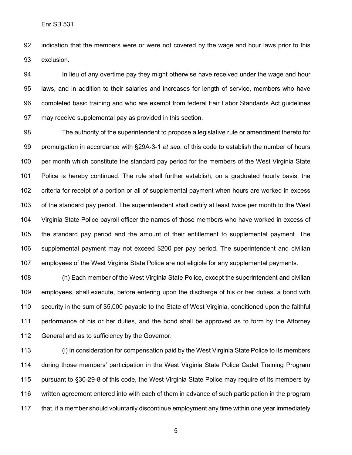indication that the members were or were not covered by the wage and hour laws prior to this exclusion.

94 In lieu of any overtime pay they might otherwise have received under the wage and hour laws, and in addition to their salaries and increases for length of service, members who have completed basic training and who are exempt from federal Fair Labor Standards Act guidelines may receive supplemental pay as provided in this section.

 The authority of the superintendent to propose a legislative rule or amendment thereto for promulgation in accordance with §29A-3-1 *et seq.* of this code to establish the number of hours 100 per month which constitute the standard pay period for the members of the West Virginia State Police is hereby continued. The rule shall further establish, on a graduated hourly basis, the criteria for receipt of a portion or all of supplemental payment when hours are worked in excess of the standard pay period. The superintendent shall certify at least twice per month to the West Virginia State Police payroll officer the names of those members who have worked in excess of the standard pay period and the amount of their entitlement to supplemental payment. The supplemental payment may not exceed \$200 per pay period. The superintendent and civilian employees of the West Virginia State Police are not eligible for any supplemental payments.

 (h) Each member of the West Virginia State Police, except the superintendent and civilian employees, shall execute, before entering upon the discharge of his or her duties, a bond with security in the sum of \$5,000 payable to the State of West Virginia, conditioned upon the faithful performance of his or her duties, and the bond shall be approved as to form by the Attorney General and as to sufficiency by the Governor.

 (i) In consideration for compensation paid by the West Virginia State Police to its members during those members' participation in the West Virginia State Police Cadet Training Program pursuant to §30-29-8 of this code, the West Virginia State Police may require of its members by written agreement entered into with each of them in advance of such participation in the program that, if a member should voluntarily discontinue employment any time within one year immediately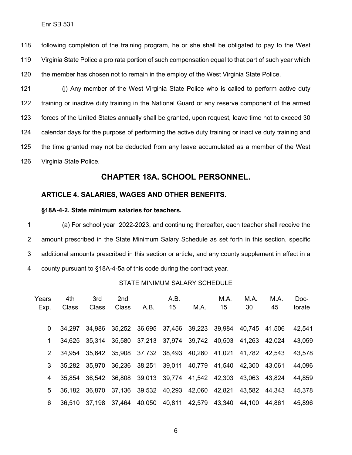following completion of the training program, he or she shall be obligated to pay to the West Virginia State Police a pro rata portion of such compensation equal to that part of such year which the member has chosen not to remain in the employ of the West Virginia State Police.

121 (i) Any member of the West Virginia State Police who is called to perform active duty training or inactive duty training in the National Guard or any reserve component of the armed forces of the United States annually shall be granted, upon request, leave time not to exceed 30 calendar days for the purpose of performing the active duty training or inactive duty training and the time granted may not be deducted from any leave accumulated as a member of the West Virginia State Police.

## **CHAPTER 18A. SCHOOL PERSONNEL.**

#### **ARTICLE 4. SALARIES, WAGES AND OTHER BENEFITS.**

#### **§18A-4-2. State minimum salaries for teachers.**

 (a) For school year 2022-2023, and continuing thereafter, each teacher shall receive the amount prescribed in the State Minimum Salary Schedule as set forth in this section, specific additional amounts prescribed in this section or article, and any county supplement in effect in a county pursuant to §18A-4-5a of this code during the contract year.

#### STATE MINIMUM SALARY SCHEDULE

| Years<br>Exp.  | 4th<br>Class | 3rd<br>Class                              | 2 <sub>nd</sub><br><b>Class</b> | A.B.                                                    | A.B.<br>15 | M.A.                        | M.A.<br>15           | M.A.<br>30    | M.A.<br>45 | Doc-<br>torate |
|----------------|--------------|-------------------------------------------|---------------------------------|---------------------------------------------------------|------------|-----------------------------|----------------------|---------------|------------|----------------|
| 0              | 34.297       | 34.986                                    | 35,252                          |                                                         |            | 36,695 37,456 39,223 39,984 |                      | 40.745 41.506 |            | 42,541         |
| 1.             | 34.625       | 35.314                                    |                                 | 35,580 37,213 37,974 39,742 40,503                      |            |                             |                      | 41,263        | 42.024     | 43,059         |
| $\overline{2}$ | 34.954       |                                           |                                 | 35,642 35,908 37,732 38,493                             |            | 40,260                      | 41,021               | 41,782 42,543 |            | 43,578         |
| 3              |              | 35,282 35,970 36,236 38,251 39,011        |                                 |                                                         |            | 40,779                      | 41,540               | 42.300 43.061 |            | 44,096         |
| 4              | 35.854       |                                           |                                 | 36,542 36,808 39,013 39,774 41,542 42,303 43,063 43,824 |            |                             |                      |               |            | 44,859         |
| 5              |              | 36,182 36,870 37,136 39,532 40,293        |                                 |                                                         |            | 42,060                      | 42,821               | 43,582 44,343 |            | 45,378         |
| 6              |              | 36,510 37,198 37,464 40,050 40,811 42,579 |                                 |                                                         |            |                             | 43,340 44,100 44,861 |               |            | 45,896         |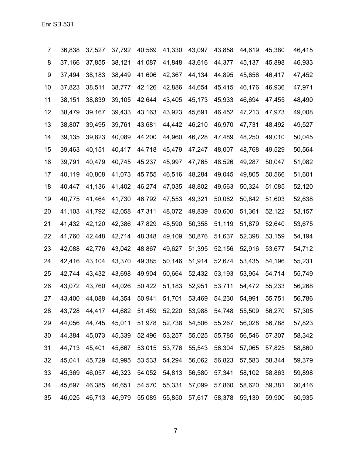| 7  | 36,838 | 37,527 | 37,792 | 40,569 | 41,330 | 43,097 | 43,858 | 44,619 | 45,380 | 46,415 |
|----|--------|--------|--------|--------|--------|--------|--------|--------|--------|--------|
| 8  | 37,166 | 37,855 | 38,121 | 41,087 | 41,848 | 43,616 | 44,377 | 45,137 | 45,898 | 46,933 |
| 9  | 37,494 | 38,183 | 38,449 | 41,606 | 42,367 | 44,134 | 44,895 | 45,656 | 46,417 | 47,452 |
| 10 | 37,823 | 38,511 | 38,777 | 42,126 | 42,886 | 44,654 | 45,415 | 46,176 | 46,936 | 47,971 |
| 11 | 38,151 | 38,839 | 39,105 | 42,644 | 43,405 | 45,173 | 45,933 | 46,694 | 47,455 | 48,490 |
| 12 | 38,479 | 39,167 | 39,433 | 43,163 | 43,923 | 45,691 | 46,452 | 47,213 | 47,973 | 49,008 |
| 13 | 38,807 | 39,495 | 39,761 | 43,681 | 44,442 | 46,210 | 46,970 | 47,731 | 48,492 | 49,527 |
| 14 | 39,135 | 39,823 | 40,089 | 44,200 | 44,960 | 46,728 | 47,489 | 48,250 | 49,010 | 50,045 |
| 15 | 39,463 | 40,151 | 40,417 | 44,718 | 45,479 | 47,247 | 48,007 | 48,768 | 49,529 | 50,564 |
| 16 | 39,791 | 40,479 | 40,745 | 45,237 | 45,997 | 47,765 | 48,526 | 49,287 | 50,047 | 51,082 |
| 17 | 40,119 | 40,808 | 41,073 | 45,755 | 46,516 | 48,284 | 49,045 | 49,805 | 50,566 | 51,601 |
| 18 | 40,447 | 41,136 | 41,402 | 46,274 | 47,035 | 48,802 | 49,563 | 50,324 | 51,085 | 52,120 |
| 19 | 40,775 | 41,464 | 41,730 | 46,792 | 47,553 | 49,321 | 50,082 | 50,842 | 51,603 | 52,638 |
| 20 | 41,103 | 41,792 | 42,058 | 47,311 | 48,072 | 49,839 | 50,600 | 51,361 | 52,122 | 53,157 |
| 21 | 41,432 | 42,120 | 42,386 | 47,829 | 48,590 | 50,358 | 51,119 | 51,879 | 52,640 | 53,675 |
| 22 | 41,760 | 42,448 | 42,714 | 48,348 | 49,109 | 50,876 | 51,637 | 52,398 | 53,159 | 54,194 |
| 23 | 42,088 | 42,776 | 43,042 | 48,867 | 49,627 | 51,395 | 52,156 | 52,916 | 53,677 | 54,712 |
| 24 | 42,416 | 43,104 | 43,370 | 49,385 | 50,146 | 51,914 | 52,674 | 53,435 | 54,196 | 55,231 |
| 25 | 42,744 | 43,432 | 43,698 | 49,904 | 50,664 | 52,432 | 53,193 | 53,954 | 54,714 | 55,749 |
| 26 | 43,072 | 43,760 | 44,026 | 50,422 | 51,183 | 52,951 | 53,711 | 54,472 | 55,233 | 56,268 |
| 27 | 43,400 | 44,088 | 44,354 | 50,941 | 51,701 | 53,469 | 54,230 | 54,991 | 55,751 | 56,786 |
| 28 | 43,728 | 44,417 | 44,682 | 51,459 | 52,220 | 53,988 | 54,748 | 55,509 | 56,270 | 57,305 |
| 29 | 44,056 | 44,745 | 45,011 | 51,978 | 52,738 | 54,506 | 55,267 | 56,028 | 56,788 | 57,823 |
| 30 | 44,384 | 45,073 | 45,339 | 52,496 | 53,257 | 55,025 | 55,785 | 56,546 | 57,307 | 58,342 |
| 31 | 44,713 | 45,401 | 45,667 | 53,015 | 53,776 | 55,543 | 56,304 | 57,065 | 57,825 | 58,860 |
| 32 | 45,041 | 45,729 | 45,995 | 53,533 | 54,294 | 56,062 | 56,823 | 57,583 | 58,344 | 59,379 |
| 33 | 45,369 | 46,057 | 46,323 | 54,052 | 54,813 | 56,580 | 57,341 | 58,102 | 58,863 | 59,898 |
| 34 | 45,697 | 46,385 | 46,651 | 54,570 | 55,331 | 57,099 | 57,860 | 58,620 | 59,381 | 60,416 |
| 35 | 46,025 | 46,713 | 46,979 | 55,089 | 55,850 | 57,617 | 58,378 | 59,139 | 59,900 | 60,935 |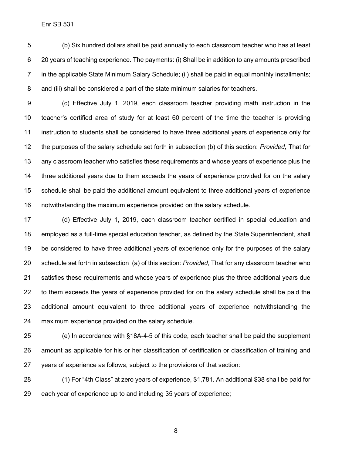(b) Six hundred dollars shall be paid annually to each classroom teacher who has at least 20 years of teaching experience. The payments: (i) Shall be in addition to any amounts prescribed in the applicable State Minimum Salary Schedule; (ii) shall be paid in equal monthly installments; and (iii) shall be considered a part of the state minimum salaries for teachers.

 (c) Effective July 1, 2019, each classroom teacher providing math instruction in the teacher's certified area of study for at least 60 percent of the time the teacher is providing instruction to students shall be considered to have three additional years of experience only for the purposes of the salary schedule set forth in subsection (b) of this section: *Provided,* That for any classroom teacher who satisfies these requirements and whose years of experience plus the three additional years due to them exceeds the years of experience provided for on the salary schedule shall be paid the additional amount equivalent to three additional years of experience notwithstanding the maximum experience provided on the salary schedule.

 (d) Effective July 1, 2019, each classroom teacher certified in special education and employed as a full-time special education teacher, as defined by the State Superintendent, shall be considered to have three additional years of experience only for the purposes of the salary schedule set forth in subsection (a) of this section: *Provided,* That for any classroom teacher who satisfies these requirements and whose years of experience plus the three additional years due to them exceeds the years of experience provided for on the salary schedule shall be paid the additional amount equivalent to three additional years of experience notwithstanding the maximum experience provided on the salary schedule.

 (e) In accordance with §18A-4-5 of this code, each teacher shall be paid the supplement amount as applicable for his or her classification of certification or classification of training and years of experience as follows, subject to the provisions of that section:

 (1) For "4th Class" at zero years of experience, \$1,781. An additional \$38 shall be paid for each year of experience up to and including 35 years of experience;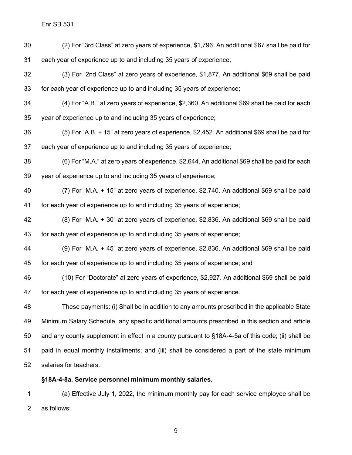(2) For "3rd Class" at zero years of experience, \$1,796. An additional \$67 shall be paid for each year of experience up to and including 35 years of experience;

- (3) For "2nd Class" at zero years of experience, \$1,877. An additional \$69 shall be paid for each year of experience up to and including 35 years of experience;
- (4) For "A.B." at zero years of experience, \$2,360. An additional \$69 shall be paid for each year of experience up to and including 35 years of experience;
- (5) For "A.B. + 15" at zero years of experience, \$2,452. An additional \$69 shall be paid for each year of experience up to and including 35 years of experience;
- (6) For "M.A." at zero years of experience, \$2,644. An additional \$69 shall be paid for each year of experience up to and including 35 years of experience;
- (7) For "M.A. + 15" at zero years of experience, \$2,740. An additional \$69 shall be paid for each year of experience up to and including 35 years of experience;
- (8) For "M.A. + 30" at zero years of experience, \$2,836. An additional \$69 shall be paid for each year of experience up to and including 35 years of experience;
- (9) For "M.A. + 45" at zero years of experience, \$2,836. An additional \$69 shall be paid for each year of experience up to and including 35 years of experience; and
- (10) For "Doctorate" at zero years of experience, \$2,927. An additional \$69 shall be paid for each year of experience up to and including 35 years of experience.
- These payments: (i) Shall be in addition to any amounts prescribed in the applicable State Minimum Salary Schedule, any specific additional amounts prescribed in this section and article and any county supplement in effect in a county pursuant to §18A-4-5a of this code; (ii) shall be paid in equal monthly installments; and (iii) shall be considered a part of the state minimum salaries for teachers.

#### **§18A-4-8a. Service personnel minimum monthly salaries.**

 (a) Effective July 1, 2022, the minimum monthly pay for each service employee shall be as follows: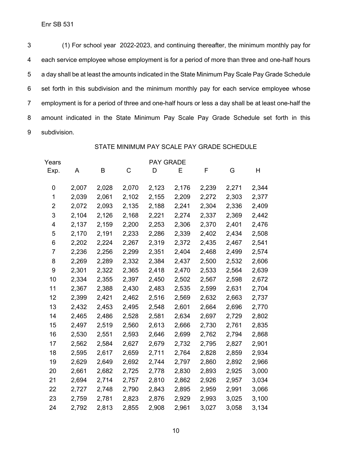(1) For school year 2022-2023, and continuing thereafter, the minimum monthly pay for each service employee whose employment is for a period of more than three and one-half hours a day shall be at least the amounts indicated in the State Minimum Pay Scale Pay Grade Schedule set forth in this subdivision and the minimum monthly pay for each service employee whose employment is for a period of three and one-half hours or less a day shall be at least one-half the amount indicated in the State Minimum Pay Scale Pay Grade Schedule set forth in this subdivision.

#### STATE MINIMUM PAY SCALE PAY GRADE SCHEDULE

| Years |       |       |       | <b>PAY GRADE</b> |       |       |       |       |
|-------|-------|-------|-------|------------------|-------|-------|-------|-------|
| Exp.  | A     | B     | C     | D                | Ε     | F     | G     | н     |
| 0     | 2,007 | 2,028 | 2,070 | 2,123            | 2,176 | 2,239 | 2,271 | 2,344 |
| 1     | 2,039 | 2,061 | 2,102 | 2,155            | 2,209 | 2,272 | 2,303 | 2,377 |
| 2     | 2,072 | 2,093 | 2,135 | 2,188            | 2,241 | 2,304 | 2,336 | 2,409 |
| 3     | 2,104 | 2,126 | 2,168 | 2,221            | 2,274 | 2,337 | 2,369 | 2,442 |
| 4     | 2,137 | 2,159 | 2,200 | 2,253            | 2,306 | 2,370 | 2,401 | 2,476 |
| 5     | 2,170 | 2,191 | 2,233 | 2,286            | 2,339 | 2,402 | 2,434 | 2,508 |
| 6     | 2,202 | 2,224 | 2,267 | 2,319            | 2,372 | 2,435 | 2,467 | 2,541 |
| 7     | 2,236 | 2,256 | 2,299 | 2,351            | 2,404 | 2,468 | 2,499 | 2,574 |
| 8     | 2,269 | 2,289 | 2,332 | 2,384            | 2,437 | 2,500 | 2,532 | 2,606 |
| 9     | 2,301 | 2,322 | 2,365 | 2,418            | 2,470 | 2,533 | 2,564 | 2,639 |
| 10    | 2,334 | 2,355 | 2,397 | 2,450            | 2,502 | 2,567 | 2,598 | 2,672 |
| 11    | 2,367 | 2,388 | 2,430 | 2,483            | 2,535 | 2,599 | 2,631 | 2,704 |
| 12    | 2,399 | 2,421 | 2,462 | 2,516            | 2,569 | 2,632 | 2,663 | 2,737 |
| 13    | 2,432 | 2,453 | 2,495 | 2,548            | 2,601 | 2,664 | 2,696 | 2,770 |
| 14    | 2,465 | 2,486 | 2,528 | 2,581            | 2,634 | 2,697 | 2,729 | 2,802 |
| 15    | 2,497 | 2,519 | 2,560 | 2,613            | 2,666 | 2,730 | 2,761 | 2,835 |
| 16    | 2,530 | 2,551 | 2,593 | 2,646            | 2,699 | 2,762 | 2,794 | 2,868 |
| 17    | 2,562 | 2,584 | 2,627 | 2,679            | 2,732 | 2,795 | 2,827 | 2,901 |
| 18    | 2,595 | 2,617 | 2,659 | 2,711            | 2,764 | 2,828 | 2,859 | 2,934 |
| 19    | 2,629 | 2,649 | 2,692 | 2,744            | 2,797 | 2,860 | 2,892 | 2,966 |
| 20    | 2,661 | 2,682 | 2,725 | 2,778            | 2,830 | 2,893 | 2,925 | 3,000 |
| 21    | 2,694 | 2,714 | 2,757 | 2,810            | 2,862 | 2,926 | 2,957 | 3,034 |
| 22    | 2,727 | 2,748 | 2,790 | 2,843            | 2,895 | 2,959 | 2,991 | 3,066 |
| 23    | 2,759 | 2,781 | 2,823 | 2,876            | 2,929 | 2,993 | 3,025 | 3,100 |
| 24    | 2,792 | 2,813 | 2,855 | 2,908            | 2,961 | 3,027 | 3,058 | 3,134 |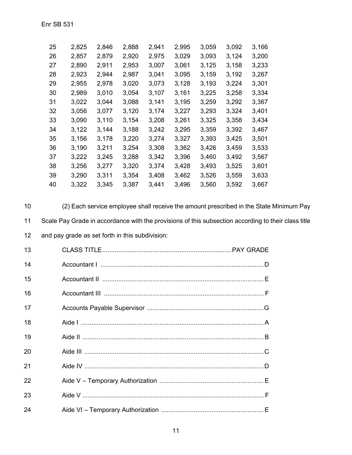| 25 | 2,825 | 2,846 | 2,888 | 2,941 | 2,995 | 3,059 | 3,092 | 3,166 |
|----|-------|-------|-------|-------|-------|-------|-------|-------|
| 26 | 2,857 | 2,879 | 2,920 | 2,975 | 3,029 | 3,093 | 3,124 | 3,200 |
| 27 | 2,890 | 2,911 | 2,953 | 3,007 | 3,061 | 3,125 | 3,158 | 3,233 |
| 28 | 2,923 | 2,944 | 2,987 | 3,041 | 3,095 | 3,159 | 3,192 | 3,267 |
| 29 | 2,955 | 2,978 | 3,020 | 3,073 | 3,128 | 3,193 | 3,224 | 3,301 |
| 30 | 2,989 | 3,010 | 3,054 | 3,107 | 3,161 | 3,225 | 3,258 | 3,334 |
| 31 | 3,022 | 3,044 | 3,088 | 3,141 | 3,195 | 3,259 | 3,292 | 3,367 |
| 32 | 3,056 | 3,077 | 3,120 | 3,174 | 3,227 | 3,293 | 3,324 | 3,401 |
| 33 | 3,090 | 3,110 | 3,154 | 3,208 | 3,261 | 3,325 | 3,358 | 3,434 |
| 34 | 3,122 | 3,144 | 3,188 | 3,242 | 3,295 | 3,359 | 3,392 | 3,467 |
| 35 | 3,156 | 3,178 | 3,220 | 3,274 | 3,327 | 3,393 | 3,425 | 3,501 |
| 36 | 3,190 | 3,211 | 3,254 | 3,308 | 3,362 | 3,426 | 3,459 | 3,533 |
| 37 | 3,222 | 3,245 | 3,288 | 3,342 | 3,396 | 3,460 | 3,492 | 3,567 |
| 38 | 3,256 | 3,277 | 3,320 | 3,374 | 3,428 | 3,493 | 3,525 | 3,601 |
| 39 | 3,290 | 3,311 | 3,354 | 3,408 | 3,462 | 3,526 | 3,559 | 3,633 |
| 40 | 3,322 | 3,345 | 3,387 | 3,441 | 3,496 | 3,560 | 3,592 | 3,667 |

 $10$ (2) Each service employee shall receive the amount prescribed in the State Minimum Pay  $11$ Scale Pay Grade in accordance with the provisions of this subsection according to their class title  $12$ and pay grade as set forth in this subdivision:

| 13 |  |
|----|--|
| 14 |  |
| 15 |  |
| 16 |  |
| 17 |  |
| 18 |  |
| 19 |  |
| 20 |  |
| 21 |  |
| 22 |  |
| 23 |  |
| 24 |  |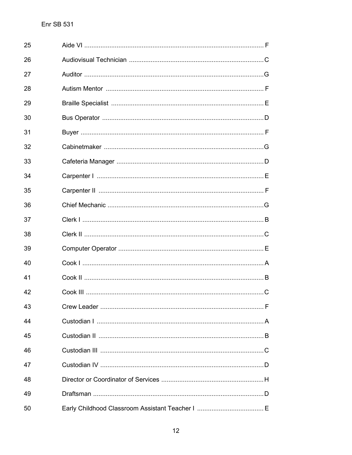| 25 |  |
|----|--|
| 26 |  |
| 27 |  |
| 28 |  |
| 29 |  |
| 30 |  |
| 31 |  |
| 32 |  |
| 33 |  |
| 34 |  |
| 35 |  |
| 36 |  |
| 37 |  |
| 38 |  |
| 39 |  |
| 40 |  |
| 41 |  |
| 42 |  |
| 43 |  |
| 44 |  |
| 45 |  |
| 46 |  |
| 47 |  |
| 48 |  |
| 49 |  |
| 50 |  |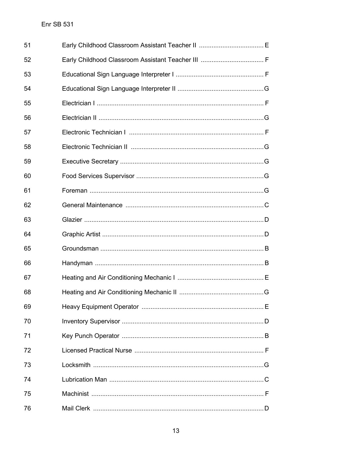| 51 |  |
|----|--|
| 52 |  |
| 53 |  |
| 54 |  |
| 55 |  |
| 56 |  |
| 57 |  |
| 58 |  |
| 59 |  |
| 60 |  |
| 61 |  |
| 62 |  |
| 63 |  |
| 64 |  |
| 65 |  |
| 66 |  |
| 67 |  |
| 68 |  |
| 69 |  |
| 70 |  |
| 71 |  |
| 72 |  |
| 73 |  |
| 74 |  |
| 75 |  |
| 76 |  |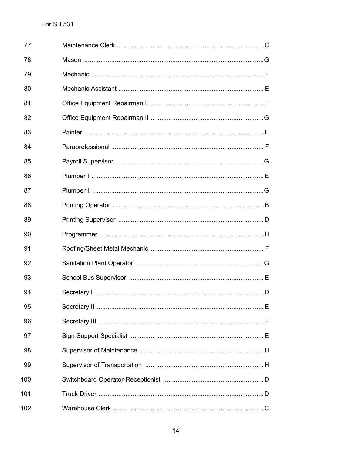| 77  |  |
|-----|--|
| 78  |  |
| 79  |  |
| 80  |  |
| 81  |  |
| 82  |  |
| 83  |  |
| 84  |  |
| 85  |  |
| 86  |  |
| 87  |  |
| 88  |  |
| 89  |  |
| 90  |  |
| 91  |  |
| 92  |  |
| 93  |  |
| 94  |  |
| 95  |  |
| 96  |  |
| 97  |  |
| 98  |  |
| 99  |  |
| 100 |  |
| 101 |  |
| 102 |  |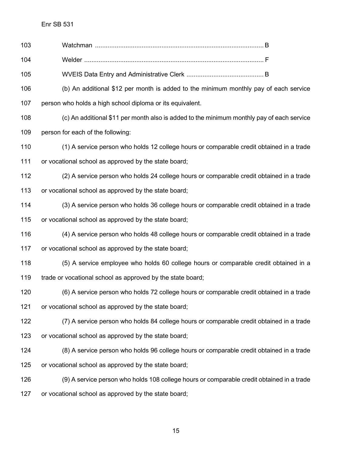| 103 |                                                                                           |
|-----|-------------------------------------------------------------------------------------------|
| 104 |                                                                                           |
| 105 |                                                                                           |
| 106 | (b) An additional \$12 per month is added to the minimum monthly pay of each service      |
| 107 | person who holds a high school diploma or its equivalent.                                 |
| 108 | (c) An additional \$11 per month also is added to the minimum monthly pay of each service |
| 109 | person for each of the following:                                                         |
| 110 | (1) A service person who holds 12 college hours or comparable credit obtained in a trade  |
| 111 | or vocational school as approved by the state board;                                      |
| 112 | (2) A service person who holds 24 college hours or comparable credit obtained in a trade  |
| 113 | or vocational school as approved by the state board;                                      |
| 114 | (3) A service person who holds 36 college hours or comparable credit obtained in a trade  |
| 115 | or vocational school as approved by the state board;                                      |
| 116 | (4) A service person who holds 48 college hours or comparable credit obtained in a trade  |
| 117 | or vocational school as approved by the state board;                                      |
| 118 | (5) A service employee who holds 60 college hours or comparable credit obtained in a      |
| 119 | trade or vocational school as approved by the state board;                                |
| 120 | (6) A service person who holds 72 college hours or comparable credit obtained in a trade  |
| 121 | or vocational school as approved by the state board;                                      |
| 122 | (7) A service person who holds 84 college hours or comparable credit obtained in a trade  |
| 123 | or vocational school as approved by the state board;                                      |
| 124 | (8) A service person who holds 96 college hours or comparable credit obtained in a trade  |
| 125 | or vocational school as approved by the state board;                                      |
| 126 | (9) A service person who holds 108 college hours or comparable credit obtained in a trade |
| 127 | or vocational school as approved by the state board;                                      |
|     |                                                                                           |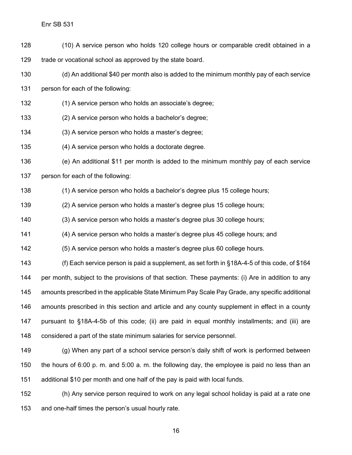Enr SB 531

- (10) A service person who holds 120 college hours or comparable credit obtained in a trade or vocational school as approved by the state board.
- 
- (d) An additional \$40 per month also is added to the minimum monthly pay of each service

person for each of the following:

- (1) A service person who holds an associate's degree;
- (2) A service person who holds a bachelor's degree;
- (3) A service person who holds a master's degree;
- (4) A service person who holds a doctorate degree.

 (e) An additional \$11 per month is added to the minimum monthly pay of each service person for each of the following:

- (1) A service person who holds a bachelor's degree plus 15 college hours;
- (2) A service person who holds a master's degree plus 15 college hours;
- (3) A service person who holds a master's degree plus 30 college hours;
- (4) A service person who holds a master's degree plus 45 college hours; and
- (5) A service person who holds a master's degree plus 60 college hours.

 (f) Each service person is paid a supplement, as set forth in §18A-4-5 of this code, of \$164 per month, subject to the provisions of that section. These payments: (i) Are in addition to any amounts prescribed in the applicable State Minimum Pay Scale Pay Grade, any specific additional amounts prescribed in this section and article and any county supplement in effect in a county pursuant to §18A-4-5b of this code; (ii) are paid in equal monthly installments; and (iii) are considered a part of the state minimum salaries for service personnel.

 (g) When any part of a school service person's daily shift of work is performed between the hours of 6:00 p. m. and 5:00 a. m. the following day, the employee is paid no less than an additional \$10 per month and one half of the pay is paid with local funds.

 (h) Any service person required to work on any legal school holiday is paid at a rate one and one-half times the person's usual hourly rate.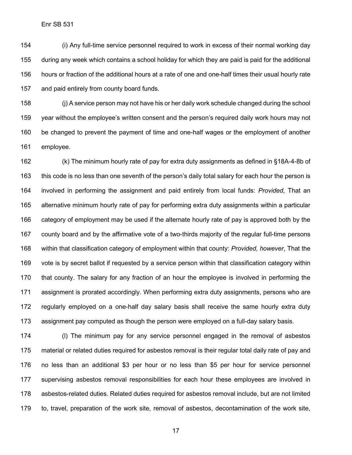(i) Any full-time service personnel required to work in excess of their normal working day during any week which contains a school holiday for which they are paid is paid for the additional hours or fraction of the additional hours at a rate of one and one-half times their usual hourly rate and paid entirely from county board funds.

 (j) A service person may not have his or her daily work schedule changed during the school year without the employee's written consent and the person's required daily work hours may not be changed to prevent the payment of time and one-half wages or the employment of another employee.

 (k) The minimum hourly rate of pay for extra duty assignments as defined in §18A-4-8b of this code is no less than one seventh of the person's daily total salary for each hour the person is involved in performing the assignment and paid entirely from local funds: *Provided*, That an alternative minimum hourly rate of pay for performing extra duty assignments within a particular category of employment may be used if the alternate hourly rate of pay is approved both by the county board and by the affirmative vote of a two-thirds majority of the regular full-time persons within that classification category of employment within that county: *Provided, however*, That the vote is by secret ballot if requested by a service person within that classification category within that county. The salary for any fraction of an hour the employee is involved in performing the assignment is prorated accordingly. When performing extra duty assignments, persons who are regularly employed on a one-half day salary basis shall receive the same hourly extra duty assignment pay computed as though the person were employed on a full-day salary basis.

 (l) The minimum pay for any service personnel engaged in the removal of asbestos material or related duties required for asbestos removal is their regular total daily rate of pay and no less than an additional \$3 per hour or no less than \$5 per hour for service personnel supervising asbestos removal responsibilities for each hour these employees are involved in asbestos-related duties. Related duties required for asbestos removal include, but are not limited to, travel, preparation of the work site, removal of asbestos, decontamination of the work site,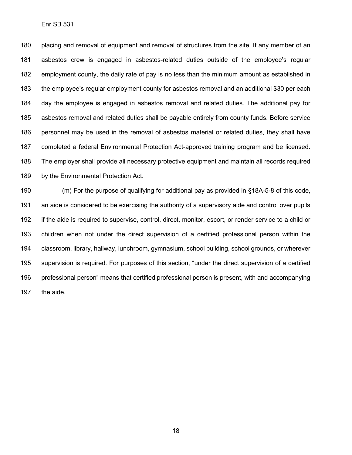placing and removal of equipment and removal of structures from the site. If any member of an asbestos crew is engaged in asbestos-related duties outside of the employee's regular employment county, the daily rate of pay is no less than the minimum amount as established in the employee's regular employment county for asbestos removal and an additional \$30 per each day the employee is engaged in asbestos removal and related duties. The additional pay for asbestos removal and related duties shall be payable entirely from county funds. Before service personnel may be used in the removal of asbestos material or related duties, they shall have completed a federal Environmental Protection Act-approved training program and be licensed. The employer shall provide all necessary protective equipment and maintain all records required by the Environmental Protection Act.

 (m) For the purpose of qualifying for additional pay as provided in §18A-5-8 of this code, an aide is considered to be exercising the authority of a supervisory aide and control over pupils if the aide is required to supervise, control, direct, monitor, escort, or render service to a child or children when not under the direct supervision of a certified professional person within the classroom, library, hallway, lunchroom, gymnasium, school building, school grounds, or wherever supervision is required. For purposes of this section, "under the direct supervision of a certified professional person" means that certified professional person is present, with and accompanying the aide.